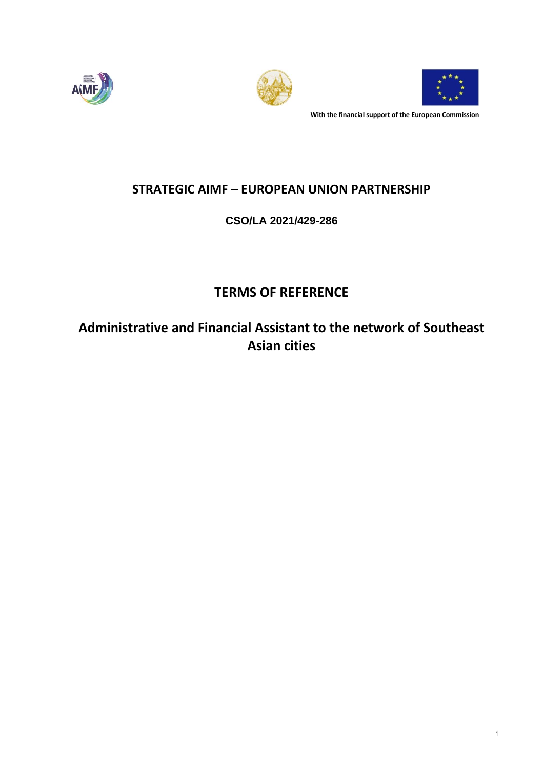





**With the financial support of the European Commission**

# **STRATEGIC AIMF – EUROPEAN UNION PARTNERSHIP**

# **CSO/LA 2021/429-286**

# **TERMS OF REFERENCE**

**Administrative and Financial Assistant to the network of Southeast Asian cities**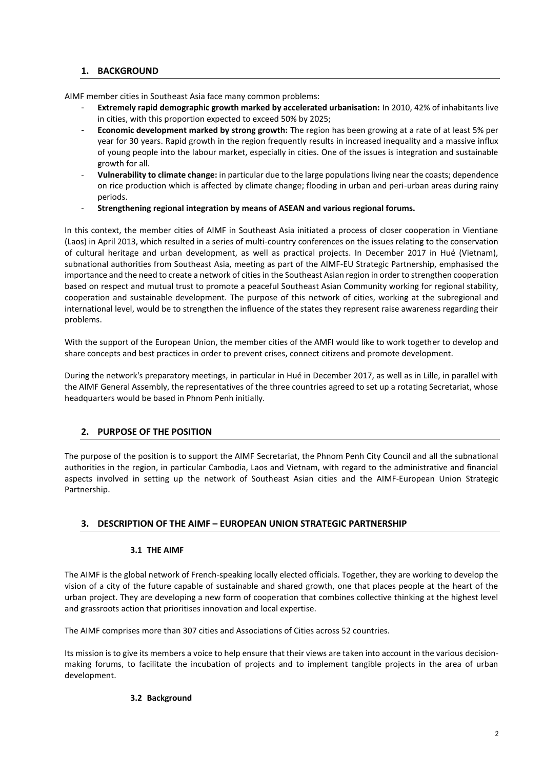# **1. BACKGROUND**

AIMF member cities in Southeast Asia face many common problems:

- **Extremely rapid demographic growth marked by accelerated urbanisation:** In 2010, 42% of inhabitants live in cities, with this proportion expected to exceed 50% by 2025;
- **Economic development marked by strong growth:** The region has been growing at a rate of at least 5% per year for 30 years. Rapid growth in the region frequently results in increased inequality and a massive influx of young people into the labour market, especially in cities. One of the issues is integration and sustainable growth for all.
- **Vulnerability to climate change:** in particular due to the large populations living near the coasts; dependence on rice production which is affected by climate change; flooding in urban and peri-urban areas during rainy periods.
- **Strengthening regional integration by means of ASEAN and various regional forums.**

In this context, the member cities of AIMF in Southeast Asia initiated a process of closer cooperation in Vientiane (Laos) in April 2013, which resulted in a series of multi-country conferences on the issues relating to the conservation of cultural heritage and urban development, as well as practical projects. In December 2017 in Hué (Vietnam), subnational authorities from Southeast Asia, meeting as part of the AIMF-EU Strategic Partnership, emphasised the importance and the need to create a network of cities in the Southeast Asian region in order to strengthen cooperation based on respect and mutual trust to promote a peaceful Southeast Asian Community working for regional stability, cooperation and sustainable development. The purpose of this network of cities, working at the subregional and international level, would be to strengthen the influence of the states they represent raise awareness regarding their problems.

With the support of the European Union, the member cities of the AMFI would like to work together to develop and share concepts and best practices in order to prevent crises, connect citizens and promote development.

During the network's preparatory meetings, in particular in Hué in December 2017, as well as in Lille, in parallel with the AIMF General Assembly, the representatives of the three countries agreed to set up a rotating Secretariat, whose headquarters would be based in Phnom Penh initially.

# **2. PURPOSE OF THE POSITION**

The purpose of the position is to support the AIMF Secretariat, the Phnom Penh City Council and all the subnational authorities in the region, in particular Cambodia, Laos and Vietnam, with regard to the administrative and financial aspects involved in setting up the network of Southeast Asian cities and the AIMF-European Union Strategic Partnership.

# **3. DESCRIPTION OF THE AIMF – EUROPEAN UNION STRATEGIC PARTNERSHIP**

# **3.1 THE AIMF**

The AIMF is the global network of French-speaking locally elected officials. Together, they are working to develop the vision of a city of the future capable of sustainable and shared growth, one that places people at the heart of the urban project. They are developing a new form of cooperation that combines collective thinking at the highest level and grassroots action that prioritises innovation and local expertise.

The AIMF comprises more than 307 cities and Associations of Cities across 52 countries.

Its mission is to give its members a voice to help ensure that their views are taken into account in the various decisionmaking forums, to facilitate the incubation of projects and to implement tangible projects in the area of urban development.

#### **3.2 Background**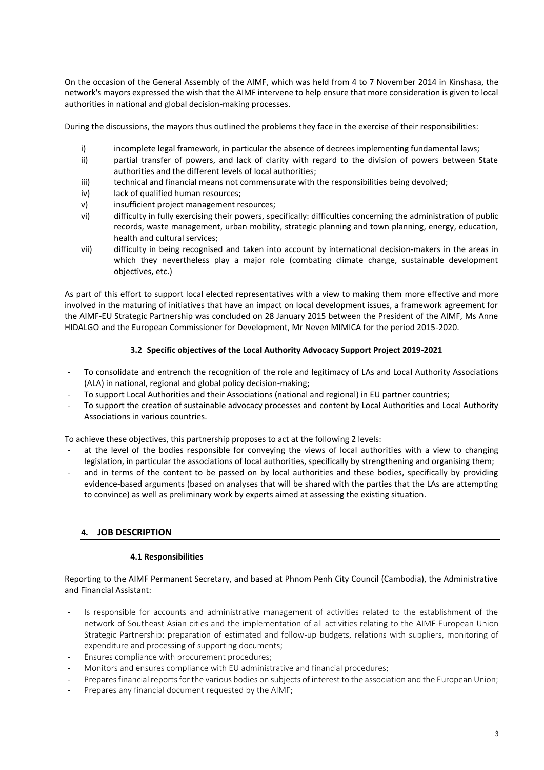On the occasion of the General Assembly of the AIMF, which was held from 4 to 7 November 2014 in Kinshasa, the network's mayors expressed the wish that the AIMF intervene to help ensure that more consideration is given to local authorities in national and global decision-making processes.

During the discussions, the mayors thus outlined the problems they face in the exercise of their responsibilities:

- i) incomplete legal framework, in particular the absence of decrees implementing fundamental laws;
- ii) partial transfer of powers, and lack of clarity with regard to the division of powers between State authorities and the different levels of local authorities;
- iii) technical and financial means not commensurate with the responsibilities being devolved;
- iv) lack of qualified human resources;
- v) insufficient project management resources;
- vi) difficulty in fully exercising their powers, specifically: difficulties concerning the administration of public records, waste management, urban mobility, strategic planning and town planning, energy, education, health and cultural services;
- vii) difficulty in being recognised and taken into account by international decision-makers in the areas in which they nevertheless play a major role (combating climate change, sustainable development objectives, etc.)

As part of this effort to support local elected representatives with a view to making them more effective and more involved in the maturing of initiatives that have an impact on local development issues, a framework agreement for the AIMF-EU Strategic Partnership was concluded on 28 January 2015 between the President of the AIMF, Ms Anne HIDALGO and the European Commissioner for Development, Mr Neven MIMICA for the period 2015-2020.

# **3.2 Specific objectives of the Local Authority Advocacy Support Project 2019-2021**

- To consolidate and entrench the recognition of the role and legitimacy of LAs and Local Authority Associations (ALA) in national, regional and global policy decision-making;
- To support Local Authorities and their Associations (national and regional) in EU partner countries;
- To support the creation of sustainable advocacy processes and content by Local Authorities and Local Authority Associations in various countries.

To achieve these objectives, this partnership proposes to act at the following 2 levels:

- at the level of the bodies responsible for conveying the views of local authorities with a view to changing legislation, in particular the associations of local authorities, specifically by strengthening and organising them;
- and in terms of the content to be passed on by local authorities and these bodies, specifically by providing evidence-based arguments (based on analyses that will be shared with the parties that the LAs are attempting to convince) as well as preliminary work by experts aimed at assessing the existing situation.

# **4. JOB DESCRIPTION**

#### **4.1 Responsibilities**

Reporting to the AIMF Permanent Secretary, and based at Phnom Penh City Council (Cambodia), the Administrative and Financial Assistant:

- Is responsible for accounts and administrative management of activities related to the establishment of the network of Southeast Asian cities and the implementation of all activities relating to the AIMF-European Union Strategic Partnership: preparation of estimated and follow-up budgets, relations with suppliers, monitoring of expenditure and processing of supporting documents;
- Ensures compliance with procurement procedures;
- Monitors and ensures compliance with EU administrative and financial procedures;
- Prepares financial reports for the various bodies on subjects of interest to the association and the European Union;
- Prepares any financial document requested by the AIMF: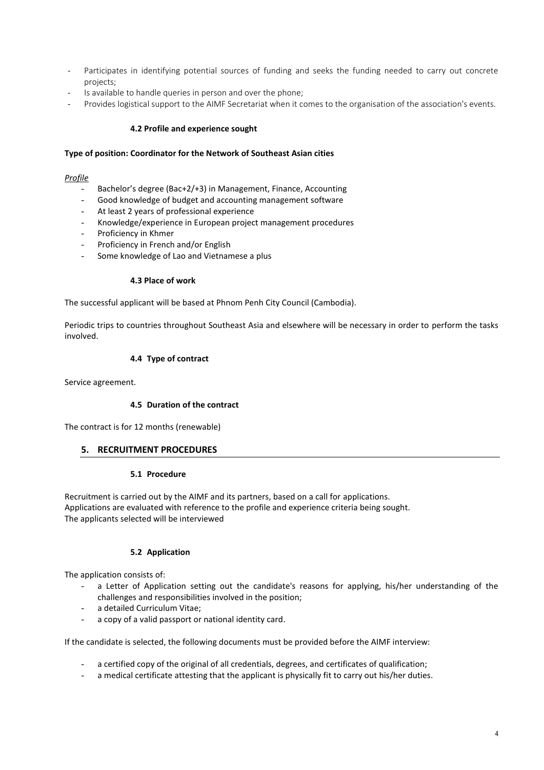- Participates in identifying potential sources of funding and seeks the funding needed to carry out concrete projects;
- Is available to handle queries in person and over the phone;
- Provides logistical support to the AIMF Secretariat when it comes to the organisation of the association's events.

#### **4.2 Profile and experience sought**

#### **Type of position: Coordinator for the Network of Southeast Asian cities**

#### *Profile*

- Bachelor's degree (Bac+2/+3) in Management, Finance, Accounting
- Good knowledge of budget and accounting management software
- At least 2 years of professional experience
- Knowledge/experience in European project management procedures
- Proficiency in Khmer
- Proficiency in French and/or English
- Some knowledge of Lao and Vietnamese a plus

#### **4.3 Place of work**

The successful applicant will be based at Phnom Penh City Council (Cambodia).

Periodic trips to countries throughout Southeast Asia and elsewhere will be necessary in order to perform the tasks involved.

#### **4.4 Type of contract**

Service agreement.

#### **4.5 Duration of the contract**

The contract is for 12 months (renewable)

#### **5. RECRUITMENT PROCEDURES**

#### **5.1 Procedure**

Recruitment is carried out by the AIMF and its partners, based on a call for applications. Applications are evaluated with reference to the profile and experience criteria being sought. The applicants selected will be interviewed

#### **5.2 Application**

The application consists of:

- a Letter of Application setting out the candidate's reasons for applying, his/her understanding of the challenges and responsibilities involved in the position;
- a detailed Curriculum Vitae:
- a copy of a valid passport or national identity card.

If the candidate is selected, the following documents must be provided before the AIMF interview:

- a certified copy of the original of all credentials, degrees, and certificates of qualification;
- a medical certificate attesting that the applicant is physically fit to carry out his/her duties.